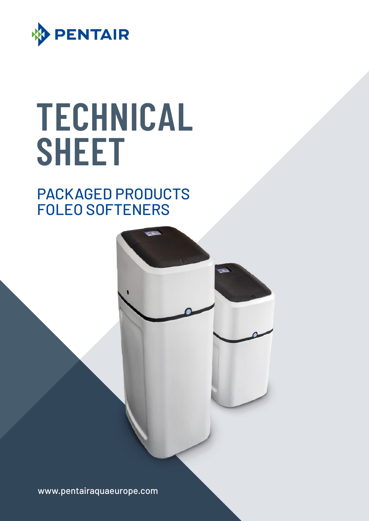

# **TECHNICAL SHEET**

# PACKAGED PRODUCTS FOLEO SOFTENERS



www.pentairaquaeurope.com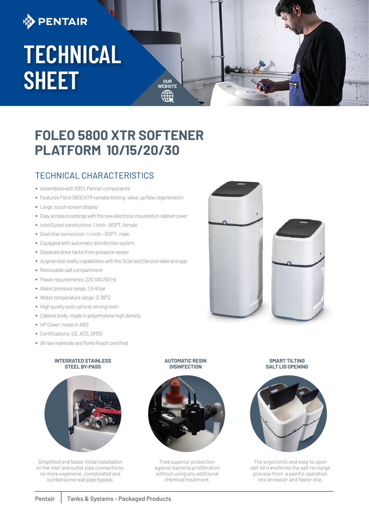# **DENTAIR**

# **TECHNICAL SHEET**

## **FOLEO 5800 XTR SOFTENER PLATFORM 10/15/20/30**

**WEBSITE**

## TECHNICAL CHARACTERISTICS

- **•** Assembled with 100% Pentair components
- **•** Features Fleck 5800 XTR variable brining valve, up flow regeneration
- **•** Large, touch screen display
- **•** Easy access to settings with the new electronic mounted on cabinet cover
- **•** Inlet/Outlet connections: 1 inch BSPT, female
- **•** Drain line connection: ½ inch BSPT, male
- **•** Equipped with automatic disinfection system
- **•** Separate brine tanks from pressure vessel
- **•** Augmented reality capabilities with the Scan and Service label and app
- **•** Removable salt compartment
- **•** Power requirements: 220 VAC/50 Hz
- **•** Water pressure range: 1.5-8 bar
- **•** Water temperature range: 2-38°C
- **•** High quality acid cationic strong resin
- **•** Cabinet body: made in polyethylene high density
- **•** HP Cover: made in ABS
- **•** Certifications: CE, ACS, DM25
- **•** All raw materials are RoHs Reach certified

#### **INTEGRATED STAINLESS STEEL BY-PASS**



Simplified and faster initial installation on the inlet and outlet pipe connections: no more expensive, complicated and cumbersome wall pipe bypass.





Free superior protection against bacteria proliferation without using any additional chemical treatment.

**SMART TILTING SALT LID OPENING**



The ergonomic and easy to open salt lid transforms the salt recharge process from a painful operation into an easier and faster one.

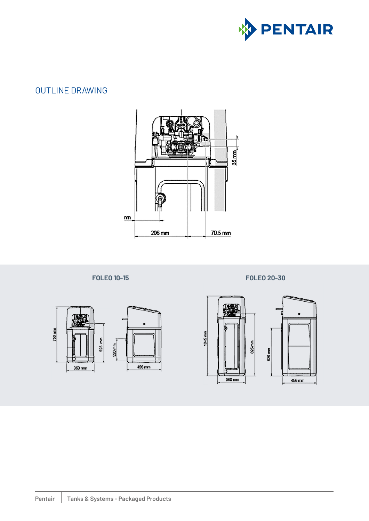

## OUTLINE DRAWING





### **FOLEO 10-15 FOLEO 20-30**

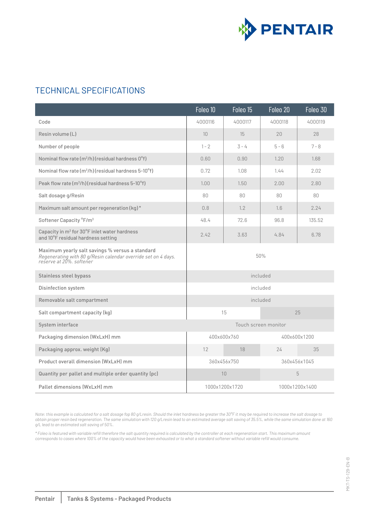

## TECHNICAL SPECIFICATIONS

|                                                                                                                                              | Foleo 10                    | Foleo 15           | Foleo 20       | Foleo 30 |
|----------------------------------------------------------------------------------------------------------------------------------------------|-----------------------------|--------------------|----------------|----------|
| Code                                                                                                                                         | 4000116                     | 4000117            | 4000118        | 4000119  |
| Resin volume $(L)$                                                                                                                           | 10 <sup>°</sup>             | 15                 | 20             | 28       |
| Number of people                                                                                                                             | $1 - 2$                     | $\overline{3} - 4$ | $5 - 6$        | $7 - 8$  |
| Nominal flow rate $(m^3/h)$ (residual hardness $0^{\circ}$ f)                                                                                | 0.60                        | 0.90               | 1.20           | 1.68     |
| Nominal flow rate $(m^3/h)$ (residual hardness 5-10 $^{\circ}$ f)                                                                            | 0.72                        | 1.08               | 1.44           | 2.02     |
| Peak flow rate $(m^3/h)$ (residual hardness 5-10 $\textdegree$ f)                                                                            | 1.00                        | 1.50               | 2.00           | 2.80     |
| Salt dosage g/Resin                                                                                                                          | 80                          | 80                 | 80             | 80       |
| Maximum salt amount per regeneration (kg)*                                                                                                   | 0.8                         | 1.2                | 1.6            | 2.24     |
| Softener Capacity °F/m <sup>3</sup>                                                                                                          | 48.4                        | 72.6               | 96.8           | 135.52   |
| Capacity in m <sup>3</sup> for 30°F inlet water hardness<br>and 10°F residual hardness setting                                               | 2.42                        | 3.63               | 4.84           | 6.78     |
| Maximum yearly salt savings % versus a standard<br>Regenerating with 80 g/Resin calendar override set on 4 days.<br>reserve at 20%. softener | 50%                         |                    |                |          |
| Stainless steel bypass                                                                                                                       | included                    |                    |                |          |
| Disinfection system                                                                                                                          | included                    |                    |                |          |
| Removable salt compartment                                                                                                                   | included                    |                    |                |          |
| Salt compartment capacity (kg)                                                                                                               | 15<br>25                    |                    |                |          |
| System interface                                                                                                                             | Touch screen monitor        |                    |                |          |
| Packaging dimension (WxLxH) mm                                                                                                               | 400x600x760<br>400x600x1200 |                    |                |          |
| Packaging approx. weight (Kg)                                                                                                                | 12                          | 18                 | 24             | 35       |
| Product overall dimension (WxLxH) mm                                                                                                         | 360x456x750<br>360x456x1045 |                    |                |          |
| Quantity per pallet and multiple order quantity (pc)                                                                                         | 10<br>5                     |                    |                |          |
| Pallet dimensions (WxLxH) mm                                                                                                                 | 1000x1200x1720              |                    | 1000x1200x1400 |          |

*Note: this example is calculated for a salt dosage fop 80 g/Lresin. Should the inlet hardness be greater the 30°F it may be required to increase the salt dosage to obtain proper resin bed regeneration. The same simulation with 120 g/Lresin lead to an estimated average salt saving of 35.5%, while the same simulation done at 160 g/L lead to an estimated salt saving of 50%.*

*\* Foleo is featured with variable refill therefore the salt quantity required is calculated by the controller at each regeneration start. This maximum amount corresponds to cases where 100% of the capacity would have been exhausted or to what a standard softener without variable refill would consume.*